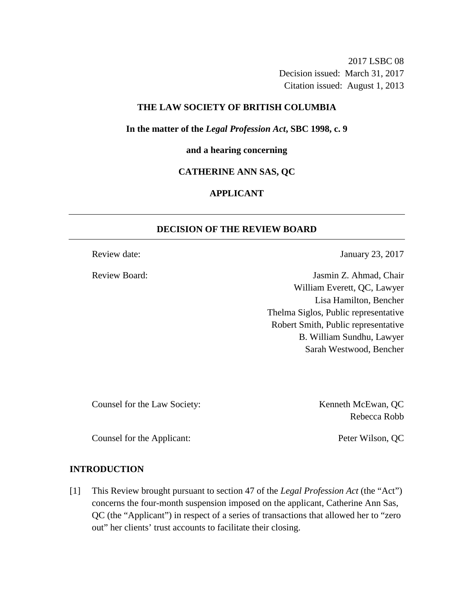2017 LSBC 08 Decision issued: March 31, 2017 Citation issued: August 1, 2013

## **THE LAW SOCIETY OF BRITISH COLUMBIA**

**In the matter of the** *Legal Profession Act***, SBC 1998, c. 9** 

### **and a hearing concerning**

### **CATHERINE ANN SAS, QC**

## **APPLICANT**

## **DECISION OF THE REVIEW BOARD**

Review date: January 23, 2017

Review Board: Jasmin Z. Ahmad, Chair William Everett, QC, Lawyer Lisa Hamilton, Bencher Thelma Siglos, Public representative Robert Smith, Public representative B. William Sundhu, Lawyer Sarah Westwood, Bencher

Counsel for the Law Society: Kenneth McEwan, QC

Rebecca Robb

Counsel for the Applicant: Peter Wilson, QC

## **INTRODUCTION**

[1] This Review brought pursuant to section 47 of the *Legal Profession Act* (the "Act") concerns the four-month suspension imposed on the applicant, Catherine Ann Sas, QC (the "Applicant") in respect of a series of transactions that allowed her to "zero out" her clients' trust accounts to facilitate their closing.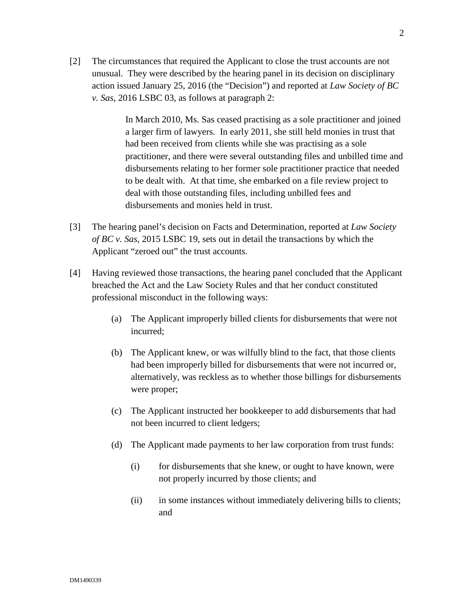[2] The circumstances that required the Applicant to close the trust accounts are not unusual. They were described by the hearing panel in its decision on disciplinary action issued January 25, 2016 (the "Decision") and reported at *Law Society of BC v. Sas*, 2016 LSBC 03, as follows at paragraph 2:

> In March 2010, Ms. Sas ceased practising as a sole practitioner and joined a larger firm of lawyers. In early 2011, she still held monies in trust that had been received from clients while she was practising as a sole practitioner, and there were several outstanding files and unbilled time and disbursements relating to her former sole practitioner practice that needed to be dealt with. At that time, she embarked on a file review project to deal with those outstanding files, including unbilled fees and disbursements and monies held in trust.

- [3] The hearing panel's decision on Facts and Determination, reported at *Law Society of BC v. Sas*, 2015 LSBC 19, sets out in detail the transactions by which the Applicant "zeroed out" the trust accounts.
- [4] Having reviewed those transactions, the hearing panel concluded that the Applicant breached the Act and the Law Society Rules and that her conduct constituted professional misconduct in the following ways:
	- (a) The Applicant improperly billed clients for disbursements that were not incurred;
	- (b) The Applicant knew, or was wilfully blind to the fact, that those clients had been improperly billed for disbursements that were not incurred or, alternatively, was reckless as to whether those billings for disbursements were proper;
	- (c) The Applicant instructed her bookkeeper to add disbursements that had not been incurred to client ledgers;
	- (d) The Applicant made payments to her law corporation from trust funds:
		- (i) for disbursements that she knew, or ought to have known, were not properly incurred by those clients; and
		- (ii) in some instances without immediately delivering bills to clients; and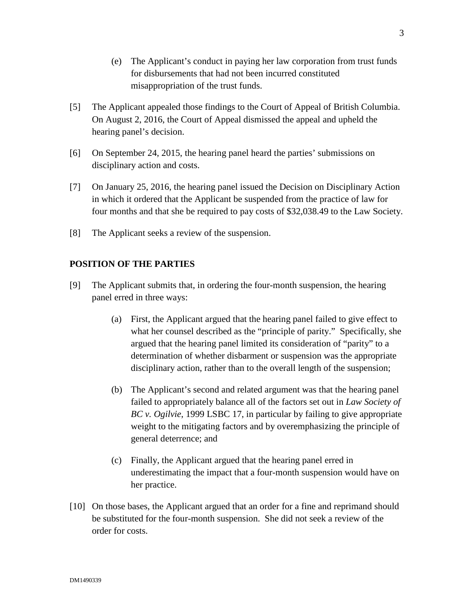- (e) The Applicant's conduct in paying her law corporation from trust funds for disbursements that had not been incurred constituted misappropriation of the trust funds.
- [5] The Applicant appealed those findings to the Court of Appeal of British Columbia. On August 2, 2016, the Court of Appeal dismissed the appeal and upheld the hearing panel's decision.
- [6] On September 24, 2015, the hearing panel heard the parties' submissions on disciplinary action and costs.
- [7] On January 25, 2016, the hearing panel issued the Decision on Disciplinary Action in which it ordered that the Applicant be suspended from the practice of law for four months and that she be required to pay costs of \$32,038.49 to the Law Society.
- [8] The Applicant seeks a review of the suspension.

## **POSITION OF THE PARTIES**

- [9] The Applicant submits that, in ordering the four-month suspension, the hearing panel erred in three ways:
	- (a) First, the Applicant argued that the hearing panel failed to give effect to what her counsel described as the "principle of parity." Specifically, she argued that the hearing panel limited its consideration of "parity" to a determination of whether disbarment or suspension was the appropriate disciplinary action, rather than to the overall length of the suspension;
	- (b) The Applicant's second and related argument was that the hearing panel failed to appropriately balance all of the factors set out in *Law Society of BC v. Ogilvie*, 1999 LSBC 17, in particular by failing to give appropriate weight to the mitigating factors and by overemphasizing the principle of general deterrence; and
	- (c) Finally, the Applicant argued that the hearing panel erred in underestimating the impact that a four-month suspension would have on her practice.
- [10] On those bases, the Applicant argued that an order for a fine and reprimand should be substituted for the four-month suspension. She did not seek a review of the order for costs.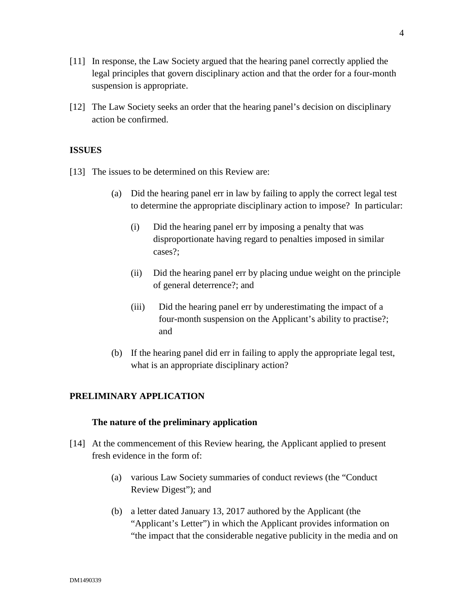- [11] In response, the Law Society argued that the hearing panel correctly applied the legal principles that govern disciplinary action and that the order for a four-month suspension is appropriate.
- [12] The Law Society seeks an order that the hearing panel's decision on disciplinary action be confirmed.

## **ISSUES**

- [13] The issues to be determined on this Review are:
	- (a) Did the hearing panel err in law by failing to apply the correct legal test to determine the appropriate disciplinary action to impose? In particular:
		- (i) Did the hearing panel err by imposing a penalty that was disproportionate having regard to penalties imposed in similar cases?;
		- (ii) Did the hearing panel err by placing undue weight on the principle of general deterrence?; and
		- (iii) Did the hearing panel err by underestimating the impact of a four-month suspension on the Applicant's ability to practise?; and
	- (b) If the hearing panel did err in failing to apply the appropriate legal test, what is an appropriate disciplinary action?

## **PRELIMINARY APPLICATION**

## **The nature of the preliminary application**

- [14] At the commencement of this Review hearing, the Applicant applied to present fresh evidence in the form of:
	- (a) various Law Society summaries of conduct reviews (the "Conduct Review Digest"); and
	- (b) a letter dated January 13, 2017 authored by the Applicant (the "Applicant's Letter") in which the Applicant provides information on "the impact that the considerable negative publicity in the media and on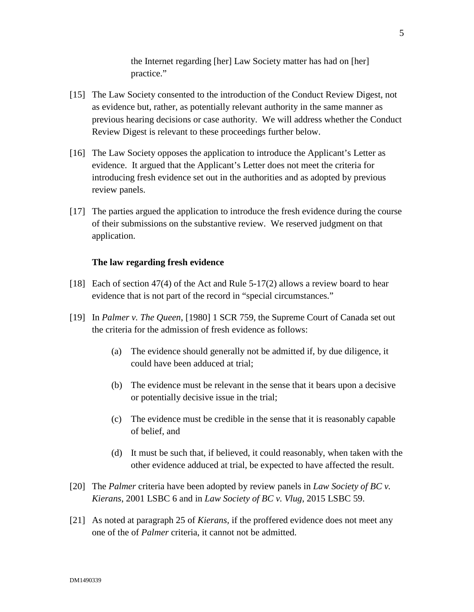the Internet regarding [her] Law Society matter has had on [her] practice."

- [15] The Law Society consented to the introduction of the Conduct Review Digest, not as evidence but, rather, as potentially relevant authority in the same manner as previous hearing decisions or case authority. We will address whether the Conduct Review Digest is relevant to these proceedings further below.
- [16] The Law Society opposes the application to introduce the Applicant's Letter as evidence. It argued that the Applicant's Letter does not meet the criteria for introducing fresh evidence set out in the authorities and as adopted by previous review panels.
- [17] The parties argued the application to introduce the fresh evidence during the course of their submissions on the substantive review. We reserved judgment on that application.

#### **The law regarding fresh evidence**

- [18] Each of section 47(4) of the Act and Rule 5-17(2) allows a review board to hear evidence that is not part of the record in "special circumstances."
- [19] In *Palmer v. The Queen*, [1980] 1 SCR 759, the Supreme Court of Canada set out the criteria for the admission of fresh evidence as follows:
	- (a) The evidence should generally not be admitted if, by due diligence, it could have been adduced at trial;
	- (b) The evidence must be relevant in the sense that it bears upon a decisive or potentially decisive issue in the trial;
	- (c) The evidence must be credible in the sense that it is reasonably capable of belief, and
	- (d) It must be such that, if believed, it could reasonably, when taken with the other evidence adduced at trial, be expected to have affected the result.
- [20] The *Palmer* criteria have been adopted by review panels in *Law Society of BC v. Kierans*, 2001 LSBC 6 and in *Law Society of BC v. Vlug*, 2015 LSBC 59.
- [21] As noted at paragraph 25 of *Kierans,* if the proffered evidence does not meet any one of the of *Palmer* criteria, it cannot not be admitted.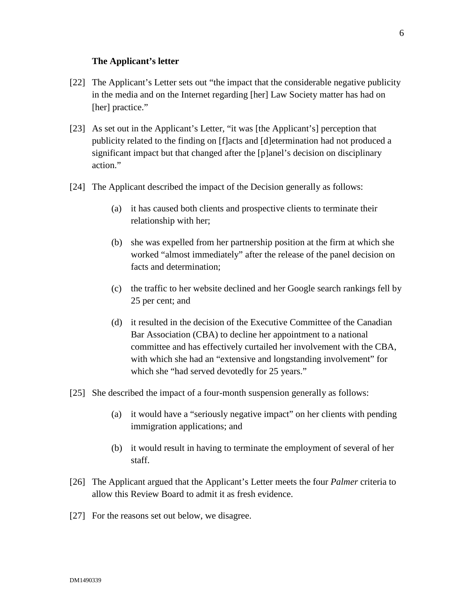#### **The Applicant's letter**

- [22] The Applicant's Letter sets out "the impact that the considerable negative publicity in the media and on the Internet regarding [her] Law Society matter has had on [her] practice."
- [23] As set out in the Applicant's Letter, "it was [the Applicant's] perception that publicity related to the finding on [f]acts and [d]etermination had not produced a significant impact but that changed after the [p]anel's decision on disciplinary action."
- [24] The Applicant described the impact of the Decision generally as follows:
	- (a) it has caused both clients and prospective clients to terminate their relationship with her;
	- (b) she was expelled from her partnership position at the firm at which she worked "almost immediately" after the release of the panel decision on facts and determination;
	- (c) the traffic to her website declined and her Google search rankings fell by 25 per cent; and
	- (d) it resulted in the decision of the Executive Committee of the Canadian Bar Association (CBA) to decline her appointment to a national committee and has effectively curtailed her involvement with the CBA, with which she had an "extensive and longstanding involvement" for which she "had served devotedly for 25 years."
- [25] She described the impact of a four-month suspension generally as follows:
	- (a) it would have a "seriously negative impact" on her clients with pending immigration applications; and
	- (b) it would result in having to terminate the employment of several of her staff.
- [26] The Applicant argued that the Applicant's Letter meets the four *Palmer* criteria to allow this Review Board to admit it as fresh evidence.
- [27] For the reasons set out below, we disagree.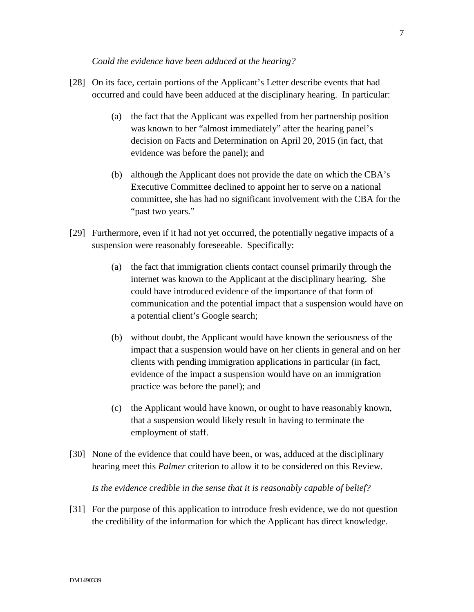- [28] On its face, certain portions of the Applicant's Letter describe events that had occurred and could have been adduced at the disciplinary hearing. In particular:
	- (a) the fact that the Applicant was expelled from her partnership position was known to her "almost immediately" after the hearing panel's decision on Facts and Determination on April 20, 2015 (in fact, that evidence was before the panel); and
	- (b) although the Applicant does not provide the date on which the CBA's Executive Committee declined to appoint her to serve on a national committee, she has had no significant involvement with the CBA for the "past two years."
- [29] Furthermore, even if it had not yet occurred, the potentially negative impacts of a suspension were reasonably foreseeable. Specifically:
	- (a) the fact that immigration clients contact counsel primarily through the internet was known to the Applicant at the disciplinary hearing. She could have introduced evidence of the importance of that form of communication and the potential impact that a suspension would have on a potential client's Google search;
	- (b) without doubt, the Applicant would have known the seriousness of the impact that a suspension would have on her clients in general and on her clients with pending immigration applications in particular (in fact, evidence of the impact a suspension would have on an immigration practice was before the panel); and
	- (c) the Applicant would have known, or ought to have reasonably known, that a suspension would likely result in having to terminate the employment of staff.
- [30] None of the evidence that could have been, or was, adduced at the disciplinary hearing meet this *Palmer* criterion to allow it to be considered on this Review.

*Is the evidence credible in the sense that it is reasonably capable of belief?* 

[31] For the purpose of this application to introduce fresh evidence, we do not question the credibility of the information for which the Applicant has direct knowledge.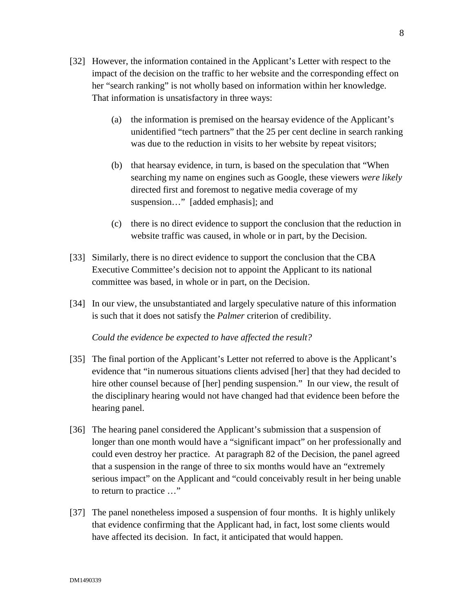- [32] However, the information contained in the Applicant's Letter with respect to the impact of the decision on the traffic to her website and the corresponding effect on her "search ranking" is not wholly based on information within her knowledge. That information is unsatisfactory in three ways:
	- (a) the information is premised on the hearsay evidence of the Applicant's unidentified "tech partners" that the 25 per cent decline in search ranking was due to the reduction in visits to her website by repeat visitors;
	- (b) that hearsay evidence, in turn, is based on the speculation that "When searching my name on engines such as Google, these viewers *were likely* directed first and foremost to negative media coverage of my suspension…" [added emphasis]; and
	- (c) there is no direct evidence to support the conclusion that the reduction in website traffic was caused, in whole or in part, by the Decision.
- [33] Similarly, there is no direct evidence to support the conclusion that the CBA Executive Committee's decision not to appoint the Applicant to its national committee was based, in whole or in part, on the Decision.
- [34] In our view, the unsubstantiated and largely speculative nature of this information is such that it does not satisfy the *Palmer* criterion of credibility.

#### *Could the evidence be expected to have affected the result?*

- [35] The final portion of the Applicant's Letter not referred to above is the Applicant's evidence that "in numerous situations clients advised [her] that they had decided to hire other counsel because of [her] pending suspension." In our view, the result of the disciplinary hearing would not have changed had that evidence been before the hearing panel.
- [36] The hearing panel considered the Applicant's submission that a suspension of longer than one month would have a "significant impact" on her professionally and could even destroy her practice. At paragraph 82 of the Decision, the panel agreed that a suspension in the range of three to six months would have an "extremely serious impact" on the Applicant and "could conceivably result in her being unable to return to practice …"
- [37] The panel nonetheless imposed a suspension of four months. It is highly unlikely that evidence confirming that the Applicant had, in fact, lost some clients would have affected its decision. In fact, it anticipated that would happen.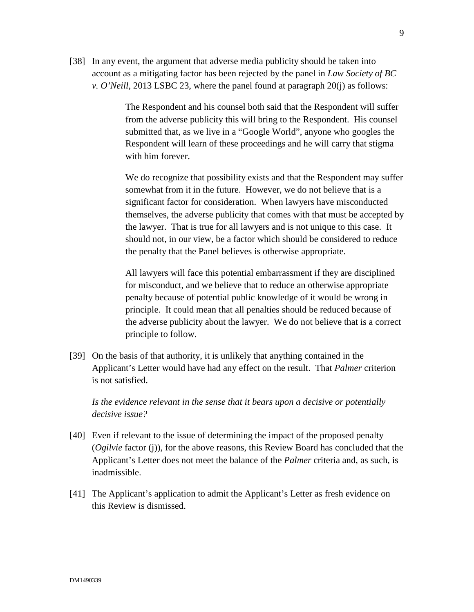[38] In any event, the argument that adverse media publicity should be taken into account as a mitigating factor has been rejected by the panel in *Law Society of BC v. O'Neill*, 2013 LSBC 23, where the panel found at paragraph 20(j) as follows:

> The Respondent and his counsel both said that the Respondent will suffer from the adverse publicity this will bring to the Respondent. His counsel submitted that, as we live in a "Google World", anyone who googles the Respondent will learn of these proceedings and he will carry that stigma with him forever.

We do recognize that possibility exists and that the Respondent may suffer somewhat from it in the future. However, we do not believe that is a significant factor for consideration. When lawyers have misconducted themselves, the adverse publicity that comes with that must be accepted by the lawyer. That is true for all lawyers and is not unique to this case. It should not, in our view, be a factor which should be considered to reduce the penalty that the Panel believes is otherwise appropriate.

All lawyers will face this potential embarrassment if they are disciplined for misconduct, and we believe that to reduce an otherwise appropriate penalty because of potential public knowledge of it would be wrong in principle. It could mean that all penalties should be reduced because of the adverse publicity about the lawyer. We do not believe that is a correct principle to follow.

[39] On the basis of that authority, it is unlikely that anything contained in the Applicant's Letter would have had any effect on the result. That *Palmer* criterion is not satisfied.

*Is the evidence relevant in the sense that it bears upon a decisive or potentially decisive issue?*

- [40] Even if relevant to the issue of determining the impact of the proposed penalty (*Ogilvie* factor (j)), for the above reasons, this Review Board has concluded that the Applicant's Letter does not meet the balance of the *Palmer* criteria and, as such, is inadmissible.
- [41] The Applicant's application to admit the Applicant's Letter as fresh evidence on this Review is dismissed.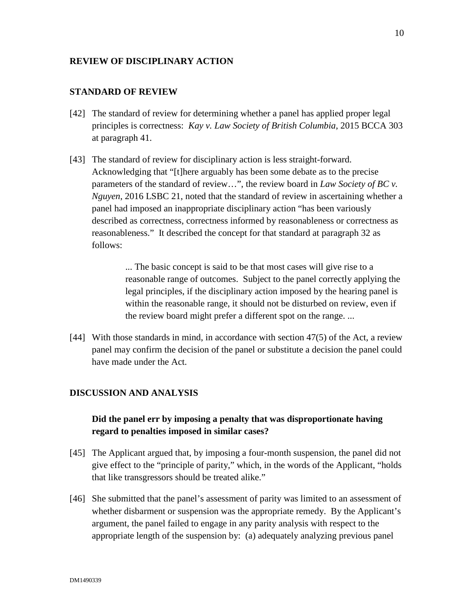### **REVIEW OF DISCIPLINARY ACTION**

### **STANDARD OF REVIEW**

- [42] The standard of review for determining whether a panel has applied proper legal principles is correctness: *Kay v. Law Society of British Columbia*, 2015 BCCA 303 at paragraph 41.
- [43] The standard of review for disciplinary action is less straight-forward. Acknowledging that "[t]here arguably has been some debate as to the precise parameters of the standard of review…", the review board in *Law Society of BC v. Nguyen*, 2016 LSBC 21, noted that the standard of review in ascertaining whether a panel had imposed an inappropriate disciplinary action "has been variously described as correctness, correctness informed by reasonableness or correctness as reasonableness." It described the concept for that standard at paragraph 32 as follows:

... The basic concept is said to be that most cases will give rise to a reasonable range of outcomes. Subject to the panel correctly applying the legal principles, if the disciplinary action imposed by the hearing panel is within the reasonable range, it should not be disturbed on review, even if the review board might prefer a different spot on the range. ...

[44] With those standards in mind, in accordance with section 47(5) of the Act*,* a review panel may confirm the decision of the panel or substitute a decision the panel could have made under the Act*.*

#### **DISCUSSION AND ANALYSIS**

## **Did the panel err by imposing a penalty that was disproportionate having regard to penalties imposed in similar cases?**

- [45] The Applicant argued that, by imposing a four-month suspension, the panel did not give effect to the "principle of parity," which, in the words of the Applicant, "holds that like transgressors should be treated alike."
- [46] She submitted that the panel's assessment of parity was limited to an assessment of whether disbarment or suspension was the appropriate remedy. By the Applicant's argument, the panel failed to engage in any parity analysis with respect to the appropriate length of the suspension by: (a) adequately analyzing previous panel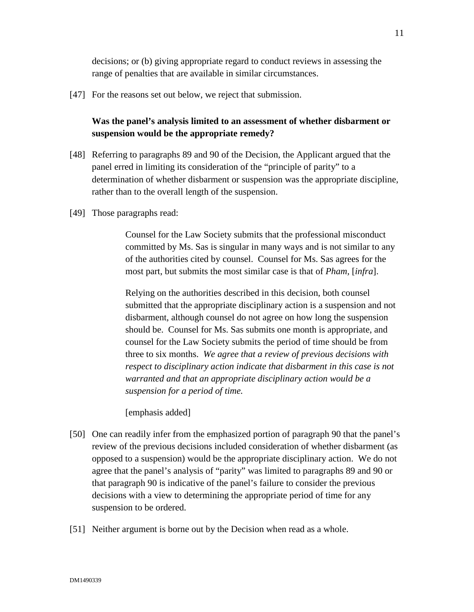decisions; or (b) giving appropriate regard to conduct reviews in assessing the range of penalties that are available in similar circumstances.

[47] For the reasons set out below, we reject that submission.

# **Was the panel's analysis limited to an assessment of whether disbarment or suspension would be the appropriate remedy?**

- [48] Referring to paragraphs 89 and 90 of the Decision, the Applicant argued that the panel erred in limiting its consideration of the "principle of parity" to a determination of whether disbarment or suspension was the appropriate discipline, rather than to the overall length of the suspension.
- [49] Those paragraphs read:

Counsel for the Law Society submits that the professional misconduct committed by Ms. Sas is singular in many ways and is not similar to any of the authorities cited by counsel. Counsel for Ms. Sas agrees for the most part, but submits the most similar case is that of *Pham,* [*infra*].

Relying on the authorities described in this decision, both counsel submitted that the appropriate disciplinary action is a suspension and not disbarment, although counsel do not agree on how long the suspension should be. Counsel for Ms. Sas submits one month is appropriate, and counsel for the Law Society submits the period of time should be from three to six months. *We agree that a review of previous decisions with respect to disciplinary action indicate that disbarment in this case is not warranted and that an appropriate disciplinary action would be a suspension for a period of time.*

[emphasis added]

- [50] One can readily infer from the emphasized portion of paragraph 90 that the panel's review of the previous decisions included consideration of whether disbarment (as opposed to a suspension) would be the appropriate disciplinary action. We do not agree that the panel's analysis of "parity" was limited to paragraphs 89 and 90 or that paragraph 90 is indicative of the panel's failure to consider the previous decisions with a view to determining the appropriate period of time for any suspension to be ordered.
- [51] Neither argument is borne out by the Decision when read as a whole.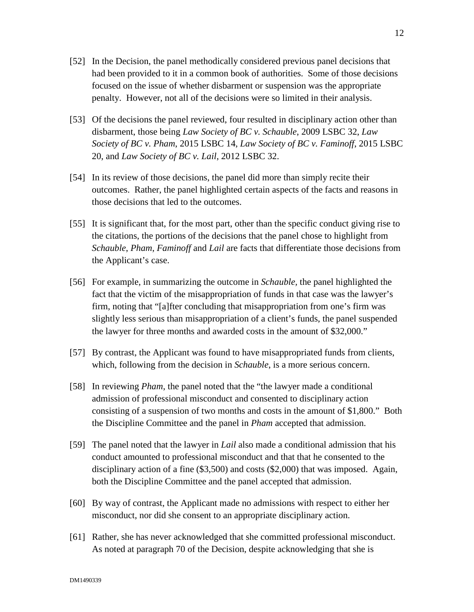- [52] In the Decision, the panel methodically considered previous panel decisions that had been provided to it in a common book of authorities. Some of those decisions focused on the issue of whether disbarment or suspension was the appropriate penalty. However, not all of the decisions were so limited in their analysis.
- [53] Of the decisions the panel reviewed, four resulted in disciplinary action other than disbarment, those being *Law Society of BC v. Schauble*, 2009 LSBC 32, *Law Society of BC v. Pham*, 2015 LSBC 14, *Law Society of BC v. Faminoff*, 2015 LSBC 20, and *Law Society of BC v. Lail*, 2012 LSBC 32.
- [54] In its review of those decisions, the panel did more than simply recite their outcomes. Rather, the panel highlighted certain aspects of the facts and reasons in those decisions that led to the outcomes.
- [55] It is significant that, for the most part, other than the specific conduct giving rise to the citations, the portions of the decisions that the panel chose to highlight from *Schauble*, *Pham*, *Faminoff* and *Lail* are facts that differentiate those decisions from the Applicant's case.
- [56] For example, in summarizing the outcome in *Schauble,* the panel highlighted the fact that the victim of the misappropriation of funds in that case was the lawyer's firm, noting that "[a]fter concluding that misappropriation from one's firm was slightly less serious than misappropriation of a client's funds, the panel suspended the lawyer for three months and awarded costs in the amount of \$32,000."
- [57] By contrast, the Applicant was found to have misappropriated funds from clients, which, following from the decision in *Schauble*, is a more serious concern.
- [58] In reviewing *Pham*, the panel noted that the "the lawyer made a conditional admission of professional misconduct and consented to disciplinary action consisting of a suspension of two months and costs in the amount of \$1,800." Both the Discipline Committee and the panel in *Pham* accepted that admission.
- [59] The panel noted that the lawyer in *Lail* also made a conditional admission that his conduct amounted to professional misconduct and that that he consented to the disciplinary action of a fine (\$3,500) and costs (\$2,000) that was imposed. Again, both the Discipline Committee and the panel accepted that admission.
- [60] By way of contrast, the Applicant made no admissions with respect to either her misconduct, nor did she consent to an appropriate disciplinary action.
- [61] Rather, she has never acknowledged that she committed professional misconduct. As noted at paragraph 70 of the Decision, despite acknowledging that she is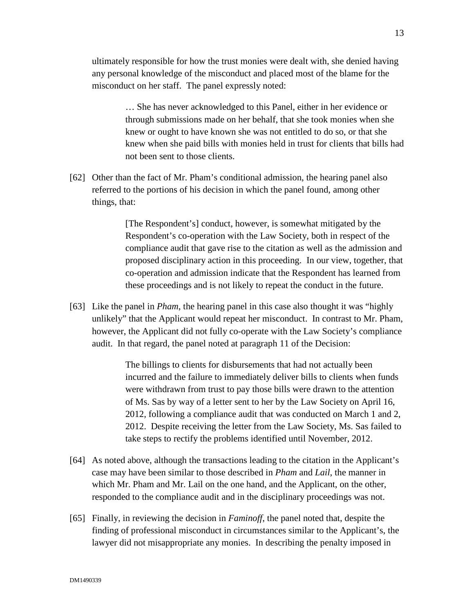ultimately responsible for how the trust monies were dealt with, she denied having any personal knowledge of the misconduct and placed most of the blame for the misconduct on her staff. The panel expressly noted:

> … She has never acknowledged to this Panel, either in her evidence or through submissions made on her behalf, that she took monies when she knew or ought to have known she was not entitled to do so, or that she knew when she paid bills with monies held in trust for clients that bills had not been sent to those clients.

[62] Other than the fact of Mr. Pham's conditional admission, the hearing panel also referred to the portions of his decision in which the panel found, among other things, that:

> [The Respondent's] conduct, however, is somewhat mitigated by the Respondent's co-operation with the Law Society, both in respect of the compliance audit that gave rise to the citation as well as the admission and proposed disciplinary action in this proceeding. In our view, together, that co-operation and admission indicate that the Respondent has learned from these proceedings and is not likely to repeat the conduct in the future.

[63] Like the panel in *Pham*, the hearing panel in this case also thought it was "highly unlikely" that the Applicant would repeat her misconduct. In contrast to Mr. Pham, however, the Applicant did not fully co-operate with the Law Society's compliance audit. In that regard, the panel noted at paragraph 11 of the Decision:

> The billings to clients for disbursements that had not actually been incurred and the failure to immediately deliver bills to clients when funds were withdrawn from trust to pay those bills were drawn to the attention of Ms. Sas by way of a letter sent to her by the Law Society on April 16, 2012, following a compliance audit that was conducted on March 1 and 2, 2012. Despite receiving the letter from the Law Society, Ms. Sas failed to take steps to rectify the problems identified until November, 2012.

- [64] As noted above, although the transactions leading to the citation in the Applicant's case may have been similar to those described in *Pham* and *Lail*, the manner in which Mr. Pham and Mr. Lail on the one hand, and the Applicant, on the other, responded to the compliance audit and in the disciplinary proceedings was not.
- [65] Finally, in reviewing the decision in *Faminoff*, the panel noted that, despite the finding of professional misconduct in circumstances similar to the Applicant's, the lawyer did not misappropriate any monies. In describing the penalty imposed in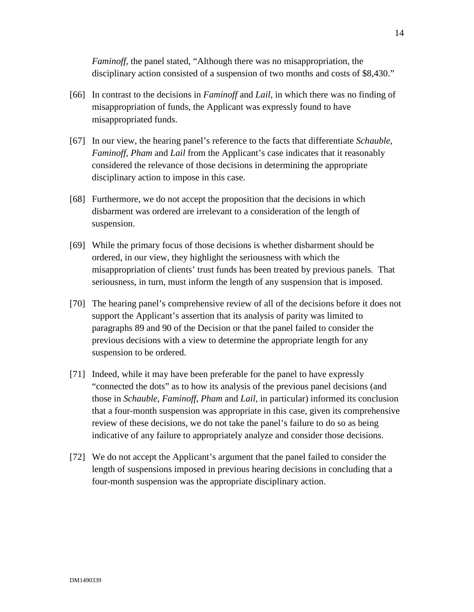*Faminoff*, the panel stated, "Although there was no misappropriation, the disciplinary action consisted of a suspension of two months and costs of \$8,430."

- [66] In contrast to the decisions in *Faminoff* and *Lail,* in which there was no finding of misappropriation of funds, the Applicant was expressly found to have misappropriated funds.
- [67] In our view, the hearing panel's reference to the facts that differentiate *Schauble, Faminoff, Pham* and *Lail* from the Applicant's case indicates that it reasonably considered the relevance of those decisions in determining the appropriate disciplinary action to impose in this case.
- [68] Furthermore, we do not accept the proposition that the decisions in which disbarment was ordered are irrelevant to a consideration of the length of suspension.
- [69] While the primary focus of those decisions is whether disbarment should be ordered, in our view, they highlight the seriousness with which the misappropriation of clients' trust funds has been treated by previous panels. That seriousness, in turn, must inform the length of any suspension that is imposed.
- [70] The hearing panel's comprehensive review of all of the decisions before it does not support the Applicant's assertion that its analysis of parity was limited to paragraphs 89 and 90 of the Decision or that the panel failed to consider the previous decisions with a view to determine the appropriate length for any suspension to be ordered.
- [71] Indeed, while it may have been preferable for the panel to have expressly "connected the dots" as to how its analysis of the previous panel decisions (and those in *Schauble*, *Faminoff*, *Pham* and *Lail*, in particular) informed its conclusion that a four-month suspension was appropriate in this case, given its comprehensive review of these decisions, we do not take the panel's failure to do so as being indicative of any failure to appropriately analyze and consider those decisions.
- [72] We do not accept the Applicant's argument that the panel failed to consider the length of suspensions imposed in previous hearing decisions in concluding that a four-month suspension was the appropriate disciplinary action.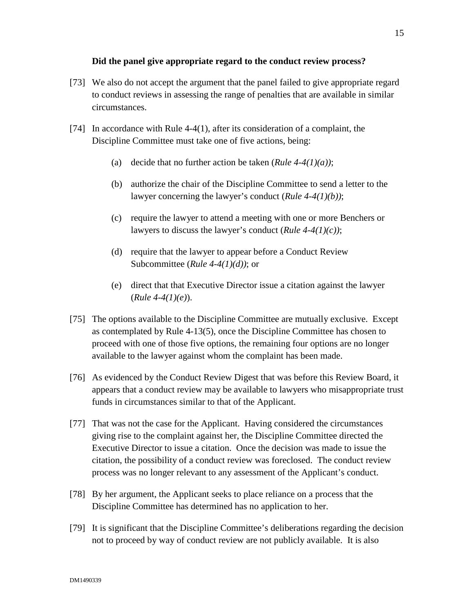## **Did the panel give appropriate regard to the conduct review process?**

- [73] We also do not accept the argument that the panel failed to give appropriate regard to conduct reviews in assessing the range of penalties that are available in similar circumstances.
- [74] In accordance with Rule 4-4(1), after its consideration of a complaint, the Discipline Committee must take one of five actions, being:
	- (a) decide that no further action be taken (*Rule 4-4(1)(a))*;
	- (b) authorize the chair of the Discipline Committee to send a letter to the lawyer concerning the lawyer's conduct (*Rule 4-4(1)(b))*;
	- (c) require the lawyer to attend a meeting with one or more Benchers or lawyers to discuss the lawyer's conduct (*Rule 4-4(1)(c))*;
	- (d) require that the lawyer to appear before a Conduct Review Subcommittee (*Rule 4-4(1)(d))*; or
	- (e) direct that that Executive Director issue a citation against the lawyer (*Rule 4-4(1)(e)*).
- [75] The options available to the Discipline Committee are mutually exclusive. Except as contemplated by Rule 4-13(5), once the Discipline Committee has chosen to proceed with one of those five options, the remaining four options are no longer available to the lawyer against whom the complaint has been made.
- [76] As evidenced by the Conduct Review Digest that was before this Review Board, it appears that a conduct review may be available to lawyers who misappropriate trust funds in circumstances similar to that of the Applicant.
- [77] That was not the case for the Applicant. Having considered the circumstances giving rise to the complaint against her, the Discipline Committee directed the Executive Director to issue a citation. Once the decision was made to issue the citation, the possibility of a conduct review was foreclosed. The conduct review process was no longer relevant to any assessment of the Applicant's conduct.
- [78] By her argument, the Applicant seeks to place reliance on a process that the Discipline Committee has determined has no application to her.
- [79] It is significant that the Discipline Committee's deliberations regarding the decision not to proceed by way of conduct review are not publicly available. It is also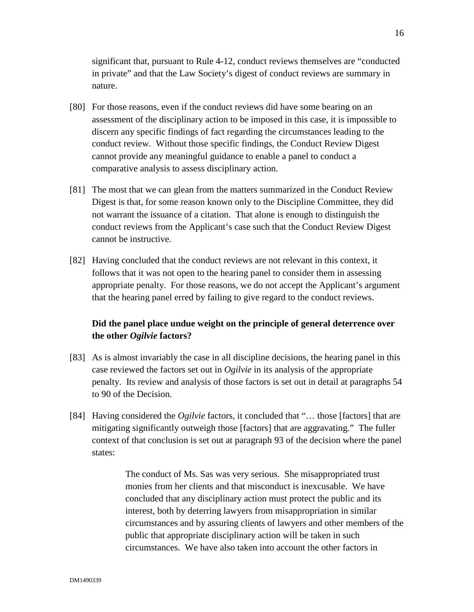significant that, pursuant to Rule 4-12, conduct reviews themselves are "conducted in private" and that the Law Society's digest of conduct reviews are summary in nature.

- [80] For those reasons, even if the conduct reviews did have some bearing on an assessment of the disciplinary action to be imposed in this case, it is impossible to discern any specific findings of fact regarding the circumstances leading to the conduct review. Without those specific findings, the Conduct Review Digest cannot provide any meaningful guidance to enable a panel to conduct a comparative analysis to assess disciplinary action.
- [81] The most that we can glean from the matters summarized in the Conduct Review Digest is that, for some reason known only to the Discipline Committee, they did not warrant the issuance of a citation. That alone is enough to distinguish the conduct reviews from the Applicant's case such that the Conduct Review Digest cannot be instructive.
- [82] Having concluded that the conduct reviews are not relevant in this context, it follows that it was not open to the hearing panel to consider them in assessing appropriate penalty. For those reasons, we do not accept the Applicant's argument that the hearing panel erred by failing to give regard to the conduct reviews.

## **Did the panel place undue weight on the principle of general deterrence over the other** *Ogilvie* **factors?**

- [83] As is almost invariably the case in all discipline decisions, the hearing panel in this case reviewed the factors set out in *Ogilvie* in its analysis of the appropriate penalty. Its review and analysis of those factors is set out in detail at paragraphs 54 to 90 of the Decision.
- [84] Having considered the *Ogilvie* factors, it concluded that "… those [factors] that are mitigating significantly outweigh those [factors] that are aggravating." The fuller context of that conclusion is set out at paragraph 93 of the decision where the panel states:

The conduct of Ms. Sas was very serious. She misappropriated trust monies from her clients and that misconduct is inexcusable. We have concluded that any disciplinary action must protect the public and its interest, both by deterring lawyers from misappropriation in similar circumstances and by assuring clients of lawyers and other members of the public that appropriate disciplinary action will be taken in such circumstances. We have also taken into account the other factors in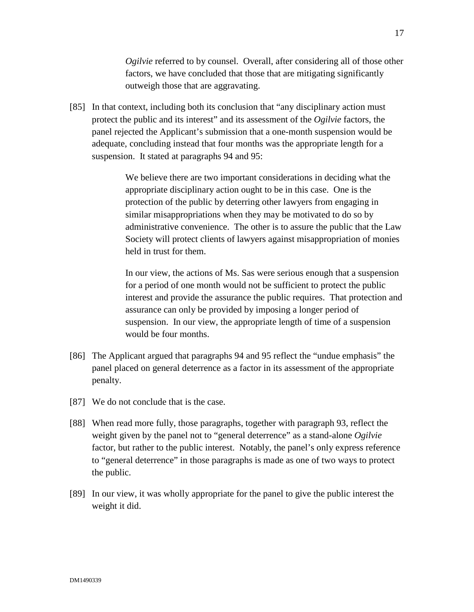*Ogilvie* referred to by counsel. Overall, after considering all of those other factors, we have concluded that those that are mitigating significantly outweigh those that are aggravating.

[85] In that context, including both its conclusion that "any disciplinary action must protect the public and its interest" and its assessment of the *Ogilvie* factors, the panel rejected the Applicant's submission that a one-month suspension would be adequate, concluding instead that four months was the appropriate length for a suspension. It stated at paragraphs 94 and 95:

> We believe there are two important considerations in deciding what the appropriate disciplinary action ought to be in this case. One is the protection of the public by deterring other lawyers from engaging in similar misappropriations when they may be motivated to do so by administrative convenience. The other is to assure the public that the Law Society will protect clients of lawyers against misappropriation of monies held in trust for them.

> In our view, the actions of Ms. Sas were serious enough that a suspension for a period of one month would not be sufficient to protect the public interest and provide the assurance the public requires. That protection and assurance can only be provided by imposing a longer period of suspension. In our view, the appropriate length of time of a suspension would be four months.

- [86] The Applicant argued that paragraphs 94 and 95 reflect the "undue emphasis" the panel placed on general deterrence as a factor in its assessment of the appropriate penalty.
- [87] We do not conclude that is the case.
- [88] When read more fully, those paragraphs, together with paragraph 93, reflect the weight given by the panel not to "general deterrence" as a stand-alone *Ogilvie* factor, but rather to the public interest. Notably, the panel's only express reference to "general deterrence" in those paragraphs is made as one of two ways to protect the public.
- [89] In our view, it was wholly appropriate for the panel to give the public interest the weight it did.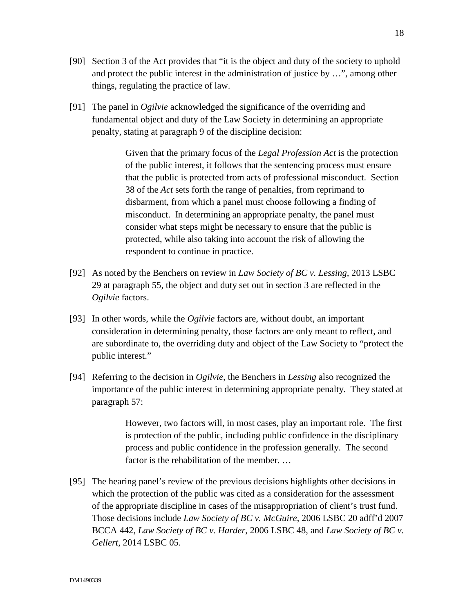- [90] Section 3 of the Act provides that "it is the object and duty of the society to uphold and protect the public interest in the administration of justice by …", among other things, regulating the practice of law.
- [91] The panel in *Ogilvie* acknowledged the significance of the overriding and fundamental object and duty of the Law Society in determining an appropriate penalty, stating at paragraph 9 of the discipline decision:

Given that the primary focus of the *Legal Profession Act* is the protection of the public interest, it follows that the sentencing process must ensure that the public is protected from acts of professional misconduct. Section 38 of the *Act* sets forth the range of penalties, from reprimand to disbarment, from which a panel must choose following a finding of misconduct. In determining an appropriate penalty, the panel must consider what steps might be necessary to ensure that the public is protected, while also taking into account the risk of allowing the respondent to continue in practice.

- [92] As noted by the Benchers on review in *Law Society of BC v. Lessing,* 2013 LSBC 29 at paragraph 55, the object and duty set out in section 3 are reflected in the *Ogilvie* factors.
- [93] In other words, while the *Ogilvie* factors are, without doubt, an important consideration in determining penalty, those factors are only meant to reflect, and are subordinate to, the overriding duty and object of the Law Society to "protect the public interest."
- [94] Referring to the decision in *Ogilvie,* the Benchers in *Lessing* also recognized the importance of the public interest in determining appropriate penalty. They stated at paragraph 57:

However, two factors will, in most cases, play an important role. The first is protection of the public, including public confidence in the disciplinary process and public confidence in the profession generally. The second factor is the rehabilitation of the member. …

[95] The hearing panel's review of the previous decisions highlights other decisions in which the protection of the public was cited as a consideration for the assessment of the appropriate discipline in cases of the misappropriation of client's trust fund. Those decisions include *Law Society of BC v. McGuire*, 2006 LSBC 20 adff'd 2007 BCCA 442, *Law Society of BC v. Harder*, 2006 LSBC 48, and *Law Society of BC v. Gellert*, 2014 LSBC 05.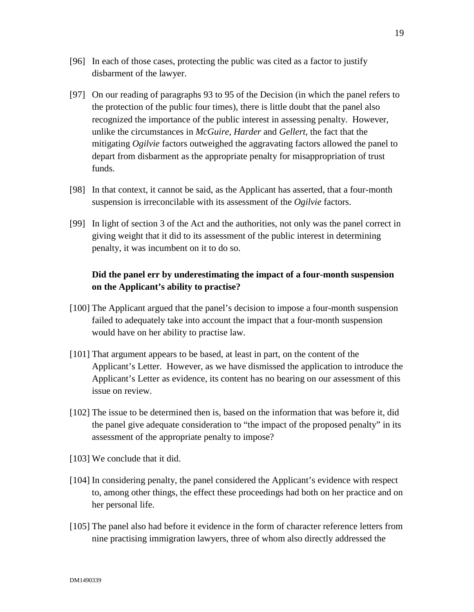- [96] In each of those cases, protecting the public was cited as a factor to justify disbarment of the lawyer.
- [97] On our reading of paragraphs 93 to 95 of the Decision (in which the panel refers to the protection of the public four times), there is little doubt that the panel also recognized the importance of the public interest in assessing penalty. However, unlike the circumstances in *McGuire*, *Harder* and *Gellert*, the fact that the mitigating *Ogilvie* factors outweighed the aggravating factors allowed the panel to depart from disbarment as the appropriate penalty for misappropriation of trust funds.
- [98] In that context, it cannot be said, as the Applicant has asserted, that a four-month suspension is irreconcilable with its assessment of the *Ogilvie* factors.
- [99] In light of section 3 of the Act and the authorities, not only was the panel correct in giving weight that it did to its assessment of the public interest in determining penalty, it was incumbent on it to do so.

## **Did the panel err by underestimating the impact of a four-month suspension on the Applicant's ability to practise?**

- [100] The Applicant argued that the panel's decision to impose a four-month suspension failed to adequately take into account the impact that a four-month suspension would have on her ability to practise law.
- [101] That argument appears to be based, at least in part, on the content of the Applicant's Letter. However, as we have dismissed the application to introduce the Applicant's Letter as evidence, its content has no bearing on our assessment of this issue on review.
- [102] The issue to be determined then is, based on the information that was before it, did the panel give adequate consideration to "the impact of the proposed penalty" in its assessment of the appropriate penalty to impose?
- [103] We conclude that it did.
- [104] In considering penalty, the panel considered the Applicant's evidence with respect to, among other things, the effect these proceedings had both on her practice and on her personal life.
- [105] The panel also had before it evidence in the form of character reference letters from nine practising immigration lawyers, three of whom also directly addressed the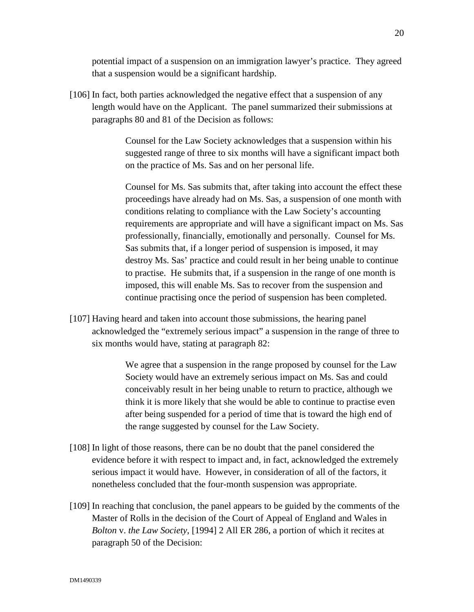potential impact of a suspension on an immigration lawyer's practice. They agreed that a suspension would be a significant hardship.

[106] In fact, both parties acknowledged the negative effect that a suspension of any length would have on the Applicant. The panel summarized their submissions at paragraphs 80 and 81 of the Decision as follows:

> Counsel for the Law Society acknowledges that a suspension within his suggested range of three to six months will have a significant impact both on the practice of Ms. Sas and on her personal life.

Counsel for Ms. Sas submits that, after taking into account the effect these proceedings have already had on Ms. Sas, a suspension of one month with conditions relating to compliance with the Law Society's accounting requirements are appropriate and will have a significant impact on Ms. Sas professionally, financially, emotionally and personally. Counsel for Ms. Sas submits that, if a longer period of suspension is imposed, it may destroy Ms. Sas' practice and could result in her being unable to continue to practise. He submits that, if a suspension in the range of one month is imposed, this will enable Ms. Sas to recover from the suspension and continue practising once the period of suspension has been completed.

[107] Having heard and taken into account those submissions, the hearing panel acknowledged the "extremely serious impact" a suspension in the range of three to six months would have, stating at paragraph 82:

> We agree that a suspension in the range proposed by counsel for the Law Society would have an extremely serious impact on Ms. Sas and could conceivably result in her being unable to return to practice, although we think it is more likely that she would be able to continue to practise even after being suspended for a period of time that is toward the high end of the range suggested by counsel for the Law Society.

- [108] In light of those reasons, there can be no doubt that the panel considered the evidence before it with respect to impact and, in fact, acknowledged the extremely serious impact it would have. However, in consideration of all of the factors, it nonetheless concluded that the four-month suspension was appropriate.
- [109] In reaching that conclusion, the panel appears to be guided by the comments of the Master of Rolls in the decision of the Court of Appeal of England and Wales in *Bolton* v. *the Law Society*, [1994] 2 All ER 286, a portion of which it recites at paragraph 50 of the Decision: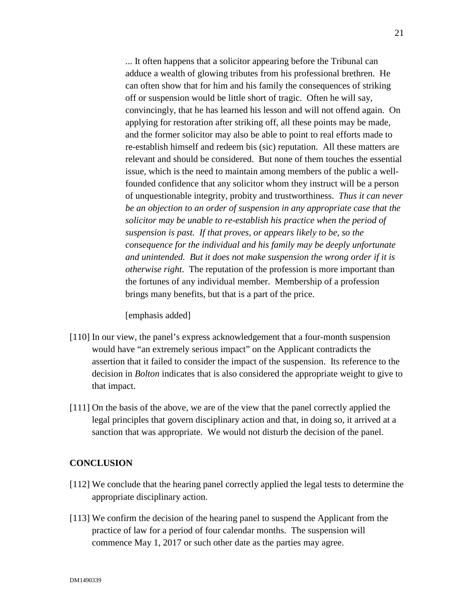... It often happens that a solicitor appearing before the Tribunal can adduce a wealth of glowing tributes from his professional brethren. He can often show that for him and his family the consequences of striking off or suspension would be little short of tragic. Often he will say, convincingly, that he has learned his lesson and will not offend again. On applying for restoration after striking off, all these points may be made, and the former solicitor may also be able to point to real efforts made to re-establish himself and redeem bis (sic) reputation. All these matters are relevant and should be considered. But none of them touches the essential issue, which is the need to maintain among members of the public a wellfounded confidence that any solicitor whom they instruct will be a person of unquestionable integrity, probity and trustworthiness. *Thus it can never be an objection to an order of suspension in any appropriate case that the solicitor may be unable to re-establish his practice when the period of suspension is past. If that proves, or appears likely to be, so the consequence for the individual and his family may be deeply unfortunate and unintended. But it does not make suspension the wrong order if it is otherwise right*. The reputation of the profession is more important than the fortunes of any individual member. Membership of a profession brings many benefits, but that is a part of the price.

[emphasis added]

- [110] In our view, the panel's express acknowledgement that a four-month suspension would have "an extremely serious impact" on the Applicant contradicts the assertion that it failed to consider the impact of the suspension. Its reference to the decision in *Bolton* indicates that is also considered the appropriate weight to give to that impact.
- [111] On the basis of the above, we are of the view that the panel correctly applied the legal principles that govern disciplinary action and that, in doing so, it arrived at a sanction that was appropriate. We would not disturb the decision of the panel.

#### **CONCLUSION**

- [112] We conclude that the hearing panel correctly applied the legal tests to determine the appropriate disciplinary action.
- [113] We confirm the decision of the hearing panel to suspend the Applicant from the practice of law for a period of four calendar months. The suspension will commence May 1, 2017 or such other date as the parties may agree.